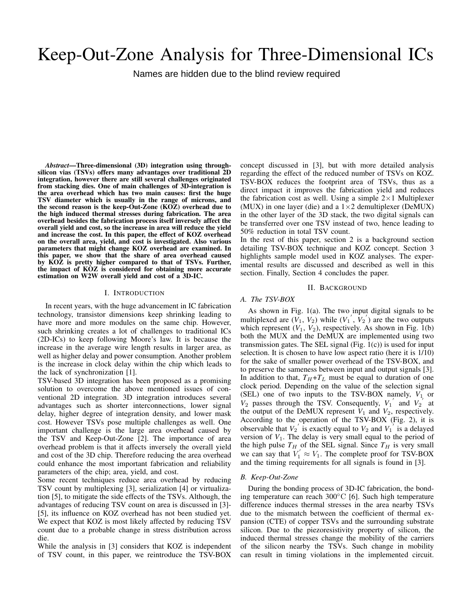# Keep-Out-Zone Analysis for Three-Dimensional ICs

Names are hidden due to the blind review required  $\mathbf{G}$ 

*Abstract*—Three-dimensional (3D) integration using throughsilicon vias (TSVs) offers many advantages over traditional 2D integration, however there are still several challenges originated from stacking dies. One of main challenges of 3D-integration is the area overhead which has two main causes: first the huge TSV diameter which is usually in the range of microns, and the second reason is the keep-Out-Zone (KOZ) overhead due to the high induced thermal stresses during fabrication. The area overhead besides the fabrication process itself inversely affect the overall yield and cost, so the increase in area will reduce the yield and increase the cost. In this paper, the effect of KOZ overhead on the overall area, yield, and cost is investigated. Also various parameters that might change KOZ overhead are examined. In this paper, we show that the share of area overhead caused by KOZ is pretty higher compared to that of TSVs. Further, the impact of KOZ is considered for obtaining more accurate estimation on W2W overall yield and cost of a 3D-IC.

## I. INTRODUCTION

In recent years, with the huge advancement in IC fabrication technology, transistor dimensions keep shrinking leading to have more and more modules on the same chip. However, such shrinking creates a lot of challenges to traditional ICs (2D-ICs) to keep following Moore's law. It is because the increase in the average wire length results in larger area, as well as higher delay and power consumption. Another problem is the increase in clock delay within the chip which leads to the lack of synchronization [1].

TSV-based 3D integration has been proposed as a promising solution to overcome the above mentioned issues of conventional 2D integration. 3D integration introduces several advantages such as shorter interconnections, lower signal delay, higher degree of integration density, and lower mask cost. However TSVs pose multiple challenges as well. One important challenge is the large area overhead caused by the TSV and Keep-Out-Zone [2]. The importance of area overhead problem is that it affects inversely the overall yield and cost of the 3D chip. Therefore reducing the area overhead could enhance the most important fabrication and reliability parameters of the chip; area, yield, and cost.

Some recent techniques reduce area overhead by reducing TSV count by multiplexing [3], serialization [4] or virtualization [5], to mitigate the side effects of the TSVs. Although, the advantages of reducing TSV count on area is discussed in [3]- [5], its influence on KOZ overhead has not been studied yet. We expect that KOZ is most likely affected by reducing TSV count due to a probable change in stress distribution across die.

While the analysis in [3] considers that KOZ is independent of TSV count, in this paper, we reintroduce the TSV-BOX

concept discussed in [3], but with more detailed analysis regarding the effect of the reduced number of TSVs on KOZ. TSV-BOX reduces the footprint area of TSVs, thus as a direct impact it improves the fabrication yield and reduces the fabrication cost as well. Using a simple  $2 \times 1$  Multiplexer (MUX) in one layer (die) and a  $1\times 2$  demultiplexer (DeMUX) in the other layer of the 3D stack, the two digital signals can be transferred over one TSV instead of two, hence leading to 50% reduction in total TSV count.

In the rest of this paper, section 2 is a background section detailing TSV-BOX technique and KOZ concept. Section 3 highlights sample model used in KOZ analyses. The experimental results are discussed and described as well in this section. Finally, Section 4 concludes the paper.

#### II. BACKGROUND

#### *A. The TSV-BOX*

As shown in Fig. 1(a). The two input digital signals to be multiplexed are  $(V_1, V_2)$  while  $(V_1', V_2')$  are the two outputs which represent  $(V_1, V_2)$ , respectively. As shown in Fig. 1(b) both the MUX and the DeMUX are implemented using two transmission gates. The SEL signal (Fig.  $1(c)$ ) is used for input selection. It is chosen to have low aspect ratio (here it is 1/10) for the sake of smaller power overhead of the TSV-BOX, and to preserve the sameness between input and output signals [3]. In addition to that,  $T_H + T_L$  must be equal to duration of one clock period. Depending on the value of the selection signal (SEL) one of two inputs to the TSV-BOX namely,  $V_1$  or  $V_2$  passes through the TSV. Consequently,  $V_1'$  and  $V_2'$  at the output of the DeMUX represent  $V_1$  and  $V_2$ , respectively. According to the operation of the TSV-BOX (Fig. 2), it is observable that  $V_2$ <sup>'</sup> is exactly equal to  $V_2$  and  $V_1$ <sup>'</sup> is a delayed version of  $V_1$ . The delay is very small equal to the period of the high pulse  $T_H$  of the SEL signal. Since  $T_H$  is very small we can say that  $V'_1 \approx V_1$ . The complete proof for TSV-BOX and the timing requirements for all signals is found in [3].

## *B. Keep-Out-Zone*

During the bonding process of 3D-IC fabrication, the bonding temperature can reach 300◦C [6]. Such high temperature difference induces thermal stresses in the area nearby TSVs due to the mismatch between the coefficient of thermal expansion (CTE) of copper TSVs and the surrounding substrate silicon. Due to the piezoresistivity property of silicon, the induced thermal stresses change the mobility of the carriers of the silicon nearby the TSVs. Such change in mobility can result in timing violations in the implemented circuit.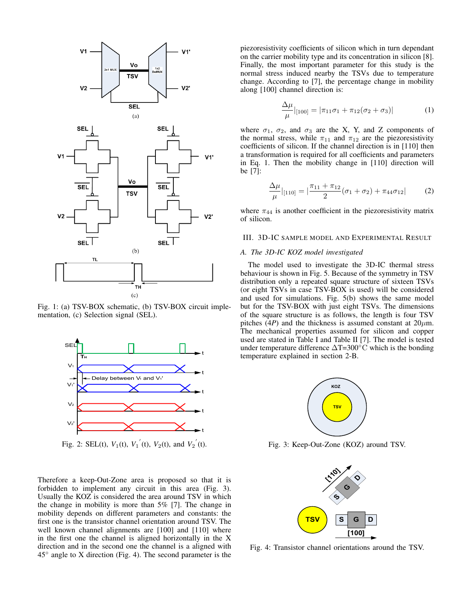

Fig. 1: (a) TSV-BOX schematic, (b) TSV-BOX circuit implementation, (c) Selection signal (SEL).



Fig. 2: SEL(t),  $V_1(t)$ ,  $V_1'(t)$ ,  $V_2(t)$ , and  $V_2'(t)$ .

Therefore a keep-Out-Zone area is proposed so that it is forbidden to implement any circuit in this area (Fig. 3). Usually the KOZ is considered the area around TSV in which the change in mobility is more than 5% [7]. The change in mobility depends on different parameters and constants: the first one is the transistor channel orientation around TSV. The well known channel alignments are [100] and [110] where in the first one the channel is aligned horizontally in the X direction and in the second one the channel is a aligned with 45◦ angle to X direction (Fig. 4). The second parameter is the

piezoresistivity coefficients of silicon which in turn dependant on the carrier mobility type and its concentration in silicon [8]. Finally, the most important parameter for this study is the normal stress induced nearby the TSVs due to temperature change. According to [7], the percentage change in mobility along [100] channel direction is:

$$
\frac{\Delta \mu}{\mu}|_{[100]} = |\pi_{11}\sigma_1 + \pi_{12}(\sigma_2 + \sigma_3)| \tag{1}
$$

where  $\sigma_1$ ,  $\sigma_2$ , and  $\sigma_3$  are the X, Y, and Z components of the normal stress, while  $\pi_{11}$  and  $\pi_{12}$  are the piezoresistivity coefficients of silicon. If the channel direction is in [110] then a transformation is required for all coefficients and parameters in Eq. 1. Then the mobility change in [110] direction will be [7]:

$$
\frac{\Delta \mu}{\mu}|_{[110]} = |\frac{\pi_{11} + \pi_{12}}{2}(\sigma_1 + \sigma_2) + \pi_{44}\sigma_{12}| \tag{2}
$$

where  $\pi_{44}$  is another coefficient in the piezoresistivity matrix of silicon.

## III. 3D-IC SAMPLE MODEL AND EXPERIMENTAL RESULT

## *A. The 3D-IC KOZ model investigated*

The model used to investigate the 3D-IC thermal stress behaviour is shown in Fig. 5. Because of the symmetry in TSV distribution only a repeated square structure of sixteen TSVs (or eight TSVs in case TSV-BOX is used) will be considered and used for simulations. Fig. 5(b) shows the same model but for the TSV-BOX with just eight TSVs. The dimensions of the square structure is as follows, the length is four TSV pitches (4*P*) and the thickness is assumed constant at  $20\mu$ m. The mechanical properties assumed for silicon and copper used are stated in Table I and Table II [7]. The model is tested under temperature difference  $\Delta T=300^{\circ}$ C which is the bonding temperature explained in section 2-B.



Fig. 3: Keep-Out-Zone (KOZ) around TSV.



Fig. 4: Transistor channel orientations around the TSV.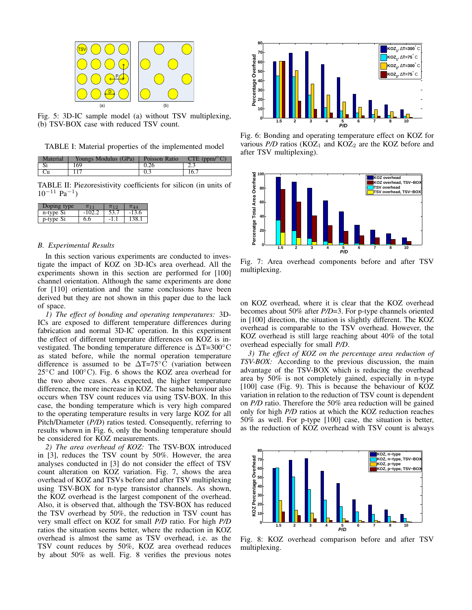

Fig. 5: 3D-IC sample model (a) without TSV multiplexing, (b) TSV-BOX case with reduced TSV count.

TABLE I: Material properties of the implemented model

| Material | Youngs Modulus (GPa) | Poisson Ratio | CTE (ppm/ $\rm ^{\circ}C$ ) |
|----------|----------------------|---------------|-----------------------------|
|          | 169                  |               |                             |
|          |                      |               | 16.                         |

TABLE II: Piezoresistivity coefficients for silicon (in units of  $10^{-11}$  Pa<sup>-1</sup>)

| $-Dopino$<br>'ne | 7(11) | $\pi$ <sub>12</sub> |         |
|------------------|-------|---------------------|---------|
| n-type Si        |       |                     | $-13.6$ |
| p-type Si        | 6.6   | - L.                |         |

#### *B. Experimental Results*

In this section various experiments are conducted to investigate the impact of KOZ on 3D-ICs area overhead. All the experiments shown in this section are performed for [100] channel orientation. Although the same experiments are done for [110] orientation and the same conclusions have been derived but they are not shown in this paper due to the lack of space.

*1) The effect of bonding and operating temperatures:* 3D-ICs are exposed to different temperature differences during fabrication and normal 3D-IC operation. In this experiment the effect of different temperature differences on KOZ is investigated. The bonding temperature difference is ∆T=300◦C as stated before, while the normal operation temperature difference is assumed to be  $\Delta T=75^{\circ}\bar{C}$  (variation between 25◦C and 100◦C). Fig. 6 shows the KOZ area overhead for the two above cases. As expected, the higher temperature difference, the more increase in KOZ. The same behaviour also occurs when TSV count reduces via using TSV-BOX. In this case, the bonding temperature which is very high compared to the operating temperature results in very large KOZ for all Pitch/Diameter (*P/D*) ratios tested. Consequently, referring to results whown in Fig. 6, only the bonding temperature should be considered for KOZ measurements.

*2) The area overhead of KOZ:* The TSV-BOX introduced in [3], reduces the TSV count by 50%. However, the area analyses conducted in [3] do not consider the effect of TSV count alteration on KOZ variation. Fig. 7, shows the area overhead of KOZ and TSVs before and after TSV multiplexing using TSV-BOX for n-type transistor channels. As shown, the KOZ overhead is the largest component of the overhead. Also, it is observed that, although the TSV-BOX has reduced the TSV overhead by 50%, the reduction in TSV count has very small effect on KOZ for small *P/D* ratio. For high *P/D* ratios the situation seems better, where the reduction in KOZ overhead is almost the same as TSV overhead, i.e. as the TSV count reduces by 50%, KOZ area overhead reduces by about 50% as well. Fig. 8 verifies the previous notes



Fig. 6: Bonding and operating temperature effect on KOZ for various  $P/D$  ratios (KOZ<sub>1</sub> and KOZ<sub>2</sub> are the KOZ before and after TSV multiplexing).



Fig. 7: Area overhead components before and after TSV multiplexing.

on KOZ overhead, where it is clear that the KOZ overhead becomes about 50% after *P/D*=3. For p-type channels oriented in [100] direction, the situation is slightly different. The KOZ overhead is comparable to the TSV overhead. However, the KOZ overhead is still large reaching about 40% of the total overhead especially for small *P/D*.

*3) The effect of KOZ on the percentage area reduction of TSV-BOX:* According to the previous discussion, the main advantage of the TSV-BOX which is reducing the overhead area by 50% is not completely gained, especially in n-type [100] case (Fig. 9). This is because the behaviour of KOZ variation in relation to the reduction of TSV count is dependent on *P/D* ratio. Therefore the 50% area reduction will be gained only for high *P/D* ratios at which the KOZ reduction reaches 50% as well. For p-type [100] case, the situation is better, as the reduction of KOZ overhead with TSV count is always



Fig. 8: KOZ overhead comparison before and after TSV multiplexing.